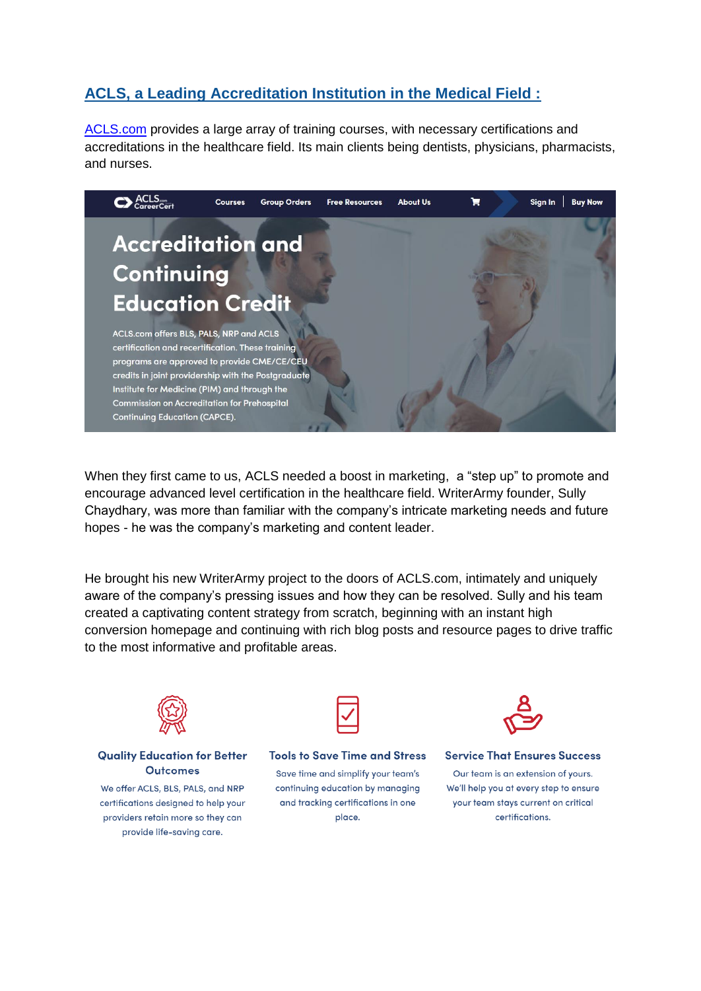# **ACLS, a Leading Accreditation Institution in the Medical Field :**

[ACLS.com](https://acls.com/free-resources/knowledge-base) provides a large array of training courses, with necessary certifications and accreditations in the healthcare field. Its main clients being dentists, physicians, pharmacists, and nurses.



When they first came to us, ACLS needed a boost in marketing, a "step up" to promote and encourage advanced level certification in the healthcare field. WriterArmy founder, Sully Chaydhary, was more than familiar with the company's intricate marketing needs and future hopes - he was the company's marketing and content leader.

He brought his new WriterArmy project to the doors of ACLS.com, intimately and uniquely aware of the company's pressing issues and how they can be resolved. Sully and his team created a captivating content strategy from scratch, beginning with an instant high conversion homepage and continuing with rich blog posts and resource pages to drive traffic to the most informative and profitable areas.



#### **Quality Education for Better Outcomes**

We offer ACLS, BLS, PALS, and NRP certifications designed to help your providers retain more so they can provide life-saving care.



**Tools to Save Time and Stress** 

Save time and simplify your team's continuing education by managing and tracking certifications in one place.



**Service That Ensures Success** 

Our team is an extension of yours. We'll help you at every step to ensure your team stays current on critical certifications.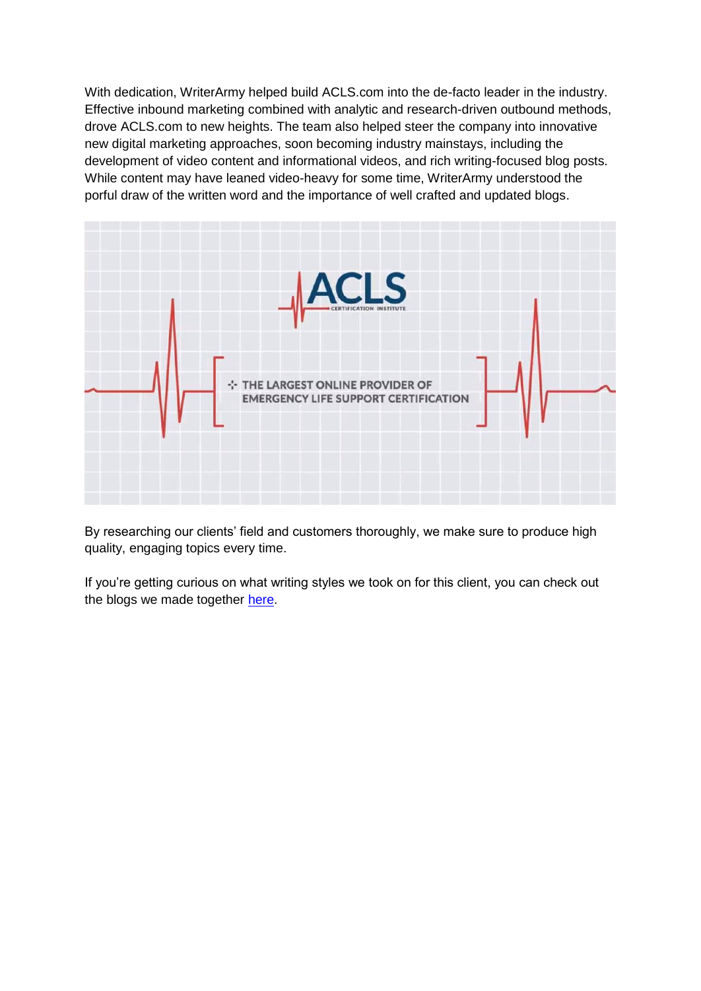With dedication, WriterArmy helped build ACLS.com into the de-facto leader in the industry. Effective inbound marketing combined with analytic and research-driven outbound methods, drove ACLS.com to new heights. The team also helped steer the company into innovative new digital marketing approaches, soon becoming industry mainstays, including the development of video content and informational videos, and rich writing-focused blog posts. While content may have leaned video-heavy for some time, WriterArmy understood the porful draw of the written word and the importance of well crafted and updated blogs.



By researching our clients' field and customers thoroughly, we make sure to produce high quality, engaging topics every time.

If you're getting curious on what writing styles we took on for this client, you can check out the blogs we made together [here.](https://acls.com/free-resources/knowledge-base)